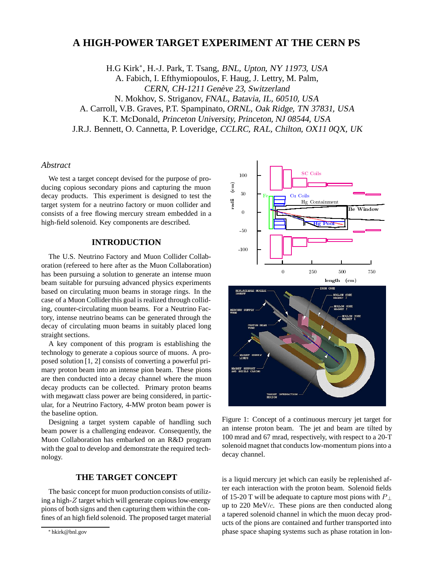# **A HIGH-POWER TARGET EXPERIMENT AT THE CERN PS**

H.G Kirk<sup>\*</sup>, H.-J. Park, T. Tsang, BNL, Upton, NY 11973, USA A. Fabich, I. Efthymiopoulos, F. Haug, J. Lettry, M. Palm, CERN, CH-1211 Genève 23, Switzerland N. Mokhov, S. Striganov, FNAL, Batavia, IL, 60510, USA A. Carroll, V.B. Graves, P.T. Spampinato, ORNL, Oak Ridge, TN 37831, USA K.T. McDonald, Princeton University, Princeton, NJ 08544, USA J.R.J. Bennett, O. Cannetta, P. Loveridge, CCLRC, RAL, Chilton, OX11 0QX, UK

# *Abstract*

We test a target concept devised for the purpose of producing copious secondary pions and capturing the muon decay products. This experiment is designed to test the target system for a neutrino factory or muon collider and consists of a free flowing mercury stream embedded in a high-field solenoid. Key components are described.

# **INTRODUCTION**

The U.S. Neutrino Factory and Muon Collider Collaboration (refereed to here after as the Muon Collaboration) has been pursuing a solution to generate an intense muon beam suitable for pursuing advanced physics experiments based on circulating muon beams in storage rings. In the case of a Muon Collider this goal is realized through colliding, counter-circulating muon beams. For a Neutrino Factory, intense neutrino beams can be generated through the decay of circulating muon beams in suitably placed long straight sections.

A key component of this program is establishing the technology to generate a copious source of muons. A proposed solution [1, 2] consists of converting a powerful primary proton beam into an intense pion beam. These pions are then conducted into a decay channel where the muon decay products can be collected. Primary proton beams with megawatt class power are being considered, in particular, for a Neutrino Factory, 4-MW proton beam power is the baseline option.

Designing a target system capable of handling such beam power is a challenging endeavor. Consequently, the Muon Collaboration has embarked on an R&D program with the goal to develop and demonstrate the required technology.

#### **THE TARGET CONCEPT**

The basic concept for muon production consists of utilizing a high-*Z* target which will generate copious low-energy pions of both signs and then capturing them within the confines of an high field solenoid. The proposed target material



Figure 1: Concept of a continuous mercury jet target for an intense proton beam. The jet and beam are tilted by 100 mrad and 67 mrad, respectively, with respect to a 20-T solenoid magnet that conducts low-momentum pions into a decay channel.

is a liquid mercury jet which can easily be replenished after each interaction with the proton beam. Solenoid fields of 15-20 T will be adequate to capture most pions with *P* <sup>⊥</sup> up to 220 MeV/*c*. These pions are then conducted along a tapered solenoid channel in which the muon decay products of the pions are contained and further transported into phase space shaping systems such as phase rotation in lon-

<sup>∗</sup> hkirk@bnl.gov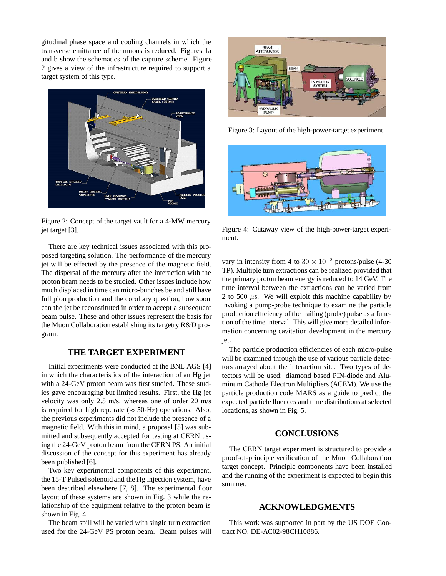gitudinal phase space and cooling channels in which the transverse emittance of the muons is reduced. Figures 1a and b show the schematics of the capture scheme. Figure 2 gives a view of the infrastructure required to support a target system of this type.



Figure 2: Concept of the target vault for a 4-MW mercury jet target [3].

There are key technical issues associated with this proposed targeting solution. The performance of the mercury jet will be effected by the presence of the magnetic field. The dispersal of the mercury after the interaction with the proton beam needs to be studied. Other issues include how much displaced in time can micro-bunches be and still have full pion production and the corollary question, how soon can the jet be reconstituted in order to accept a subsequent beam pulse. These and other issues represent the basis for the Muon Collaboration establishing its targetry R&D program.

# **THE TARGET EXPERIMENT**

Initial experiments were conducted at the BNL AGS [4] in which the characteristics of the interaction of an Hg jet with a 24-GeV proton beam was first studied. These studies gave encouraging but limited results. First, the Hg jet velocity was only 2.5 m/s, whereas one of order 20 m/s is required for high rep. rate ( $\approx$  50-Hz) operations. Also, the previous experiments did not include the presence of a magnetic field. With this in mind, a proposal [5] was submitted and subsequently accepted for testing at CERN using the 24-GeV proton beam from the CERN PS. An initial discussion of the concept for this experiment has already been published [6].

Two key experimental components of this experiment, the 15-T Pulsed solenoid and the Hg injection system, have been described elsewhere [7, 8]. The experimental floor layout of these systems are shown in Fig. 3 while the relationship of the equipment relative to the proton beam is shown in Fig. 4.

The beam spill will be varied with single turn extraction used for the 24-GeV PS proton beam. Beam pulses will



Figure 3: Layout of the high-power-target experiment.



Figure 4: Cutaway view of the high-power-target experiment.

vary in intensity from 4 to  $30 \times 10^{12}$  protons/pulse (4-30) TP). Multiple turn extractions can be realized provided that the primary proton beam energy is reduced to 14 GeV. The time interval between the extractions can be varied from 2 to 500  $\mu$ s. We will exploit this machine capability by invoking a pump-probe technique to examine the particle production efficiency of the trailing (probe) pulse as a function of the time interval. This will give more detailed information concerning cavitation development in the mercury jet.

The particle production efficiencies of each micro-pulse will be examined through the use of various particle detectors arrayed about the interaction site. Two types of detectors will be used: diamond based PIN-diode and Aluminum Cathode Electron Multipliers (ACEM). We use the particle production code MARS as a guide to predict the expected particle fluences and time distributions at selected locations, as shown in Fig. 5.

#### **CONCLUSIONS**

The CERN target experiment is structured to provide a proof-of-principle verification of the Muon Collaboration target concept. Principle components have been installed and the running of the experiment is expected to begin this summer.

#### **ACKNOWLEDGMENTS**

This work was supported in part by the US DOE Contract NO. DE-AC02-98CH10886.